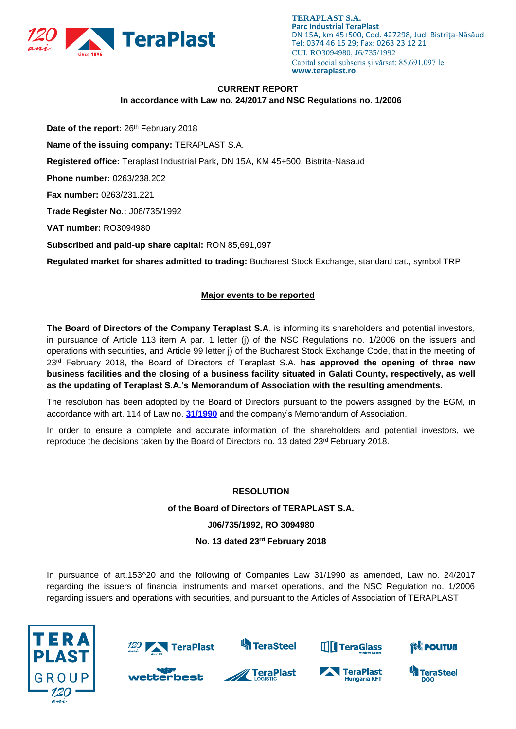

**TERAPLAST S.A. Parc Industrial TeraPlast** DN 15A, km 45+500, Cod. 427298, Jud. Bistriţa-Năsăud Tel: 0374 46 15 29; Fax: 0263 23 12 21 CUI: RO3094980; J6/735/1992 Capital social subscris și vărsat: 85.691.097 lei **www.teraplast.ro**

## **CURRENT REPORT**

**In accordance with Law no. 24/2017 and NSC Regulations no. 1/2006**

Date of the report: 26<sup>th</sup> February 2018

**Name of the issuing company:** TERAPLAST S.A.

**Registered office:** Teraplast Industrial Park, DN 15A, KM 45+500, Bistrita-Nasaud

**Phone number:** 0263/238.202

**Fax number:** 0263/231.221

**Trade Register No.:** J06/735/1992

**VAT number:** RO3094980

**Subscribed and paid-up share capital:** RON 85,691,097

**Regulated market for shares admitted to trading:** Bucharest Stock Exchange, standard cat., symbol TRP

## **Major events to be reported**

**The Board of Directors of the Company Teraplast S.A**. is informing its shareholders and potential investors, in pursuance of Article 113 item A par. 1 letter (j) of the NSC Regulations no. 1/2006 on the issuers and operations with securities, and Article 99 letter j) of the Bucharest Stock Exchange Code, that in the meeting of 23rd February 2018, the Board of Directors of Teraplast S.A. **has approved the opening of three new business facilities and the closing of a business facility situated in Galati County, respectively, as well as the updating of Teraplast S.A.'s Memorandum of Association with the resulting amendments.**

The resolution has been adopted by the Board of Directors pursuant to the powers assigned by the EGM, in accordance with art. 114 of Law no. **[31/1990](https://idrept.ro/00078665.htm)** and the company's Memorandum of Association.

In order to ensure a complete and accurate information of the shareholders and potential investors, we reproduce the decisions taken by the Board of Directors no. 13 dated  $23^{rd}$  February 2018.

#### **RESOLUTION**

**of the Board of Directors of TERAPLAST S.A.**

#### **J06/735/1992, RO 3094980**

#### **No. 13 dated 23rd February 2018**

In pursuance of art.153^20 and the following of Companies Law 31/1990 as amended, Law no. 24/2017 regarding the issuers of financial instruments and market operations, and the NSC Regulation no. 1/2006 regarding issuers and operations with securities, and pursuant to the Articles of Association of TERAPLAST





wetterbest



**TeraPlast** 



TeraPlast

**Hungaria KFT** 



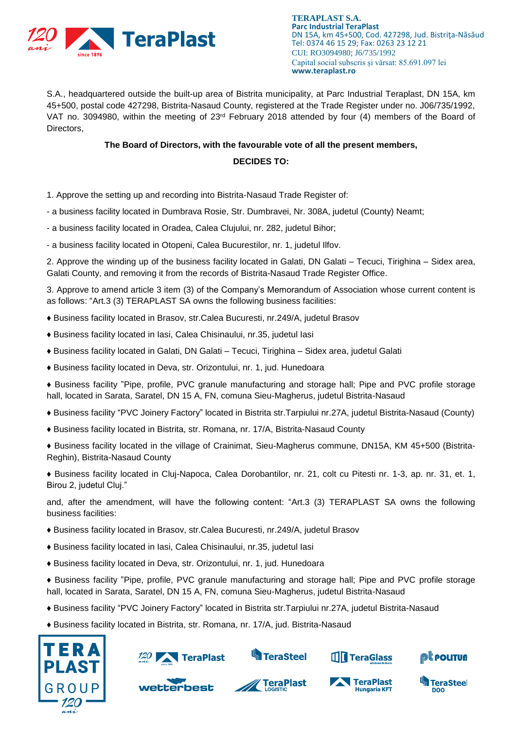

**TERAPLAST S.A. Parc Industrial TeraPlast** DN 15A, km 45+500, Cod. 427298, Jud. Bistriţa-Năsăud Tel: 0374 46 15 29; Fax: 0263 23 12 21 CUI: RO3094980; J6/735/1992 Capital social subscris și vărsat: 85.691.097 lei **www.teraplast.ro**

S.A., headquartered outside the built-up area of Bistrita municipality, at Parc Industrial Teraplast, DN 15A, km 45+500, postal code 427298, Bistrita-Nasaud County, registered at the Trade Register under no. J06/735/1992, VAT no. 3094980, within the meeting of  $23<sup>rd</sup>$  February 2018 attended by four (4) members of the Board of Directors,

#### **The Board of Directors, with the favourable vote of all the present members,**

# **DECIDES TO:**

- 1. Approve the setting up and recording into Bistrita-Nasaud Trade Register of:
- a business facility located in Dumbrava Rosie, Str. Dumbravei, Nr. 308A, judetul (County) Neamt;
- a business facility located in Oradea, Calea Clujului, nr. 282, judetul Bihor;
- a business facility located in Otopeni, Calea Bucurestilor, nr. 1, judetul Ilfov.

2. Approve the winding up of the business facility located in Galati, DN Galati – Tecuci, Tirighina – Sidex area, Galati County, and removing it from the records of Bistrita-Nasaud Trade Register Office.

3. Approve to amend article 3 item (3) of the Company's Memorandum of Association whose current content is as follows: "Art.3 (3) TERAPLAST SA owns the following business facilities:

- ♦ Business facility located in Brasov, str.Calea Bucuresti, nr.249/A, judetul Brasov
- ♦ Business facility located in Iasi, Calea Chisinaului, nr.35, judetul Iasi
- ♦ Business facility located in Galati, DN Galati Tecuci, Tirighina Sidex area, judetul Galati
- ♦ Business facility located in Deva, str. Orizontului, nr. 1, jud. Hunedoara
- ♦ Business facility "Pipe, profile, PVC granule manufacturing and storage hall; Pipe and PVC profile storage hall, located in Sarata, Saratel, DN 15 A, FN, comuna Sieu-Magherus, judetul Bistrita-Nasaud
- ♦ Business facility "PVC Joinery Factory" located in Bistrita str.Tarpiului nr.27A, judetul Bistrita-Nasaud (County)
- ♦ Business facility located in Bistrita, str. Romana, nr. 17/A, Bistrita-Nasaud County
- ♦ Business facility located in the village of Crainimat, Sieu-Magherus commune, DN15A, KM 45+500 (Bistrita-Reghin), Bistrita-Nasaud County

♦ Business facility located in Cluj-Napoca, Calea Dorobantilor, nr. 21, colt cu Pitesti nr. 1-3, ap. nr. 31, et. 1, Birou 2, judetul Cluj."

and, after the amendment, will have the following content: "Art.3 (3) TERAPLAST SA owns the following business facilities:

- ♦ Business facility located in Brasov, str.Calea Bucuresti, nr.249/A, judetul Brasov
- ♦ Business facility located in Iasi, Calea Chisinaului, nr.35, judetul Iasi
- ♦ Business facility located in Deva, str. Orizontului, nr. 1, jud. Hunedoara
- ♦ Business facility "Pipe, profile, PVC granule manufacturing and storage hall; Pipe and PVC profile storage hall, located in Sarata, Saratel, DN 15 A, FN, comuna Sieu-Magherus, judetul Bistrita-Nasaud
- ♦ Business facility "PVC Joinery Factory" located in Bistrita str.Tarpiului nr.27A, judetul Bistrita-Nasaud
- ♦ Business facility located in Bistrita, str. Romana, nr. 17/A, jud. Bistrita-Nasaud









TeraPlast

**Hungaria KFT**